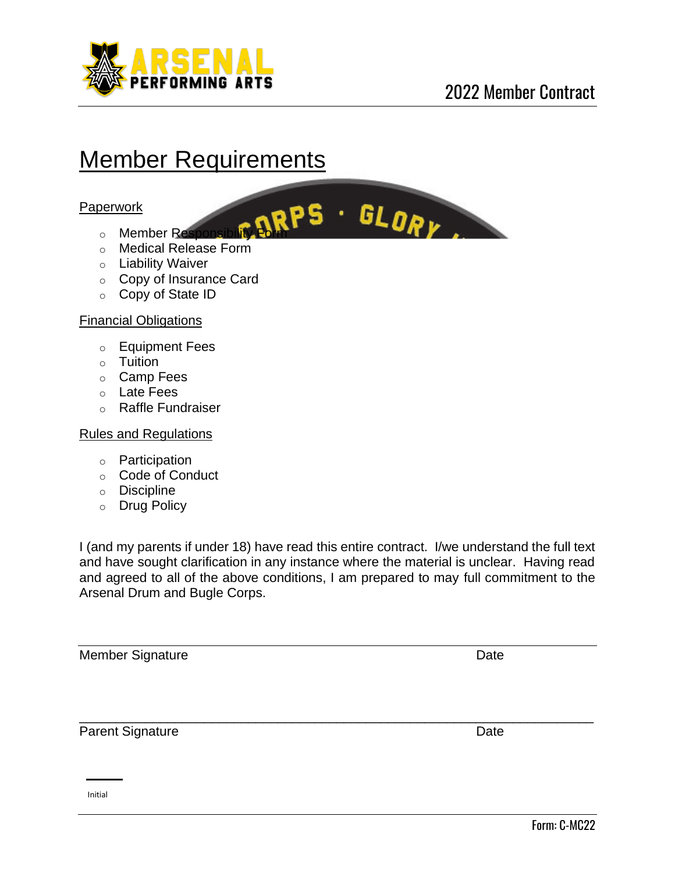

# Member Requirements

#### Paperwork

- o Member Responsibility Form
- o Medical Release Form
- o Liability Waiver
- o Copy of Insurance Card
- o Copy of State ID

#### Financial Obligations

- o Equipment Fees
- o Tuition
- o Camp Fees
- o Late Fees
- o Raffle Fundraiser

#### Rules and Regulations

- o Participation
- o Code of Conduct
- o Discipline
- o Drug Policy

I (and my parents if under 18) have read this entire contract. I/we understand the full text and have sought clarification in any instance where the material is unclear. Having read and agreed to all of the above conditions, I am prepared to may full commitment to the Arsenal Drum and Bugle Corps.

\_\_\_\_\_\_\_\_\_\_\_\_\_\_\_\_\_\_\_\_\_\_\_\_\_\_\_\_\_\_\_\_\_\_\_\_\_\_\_\_\_\_\_\_\_\_\_\_\_\_\_\_\_\_\_\_\_\_\_\_\_\_\_\_\_\_\_\_\_\_

Member Signature Date

Parent Signature Date Date

Initial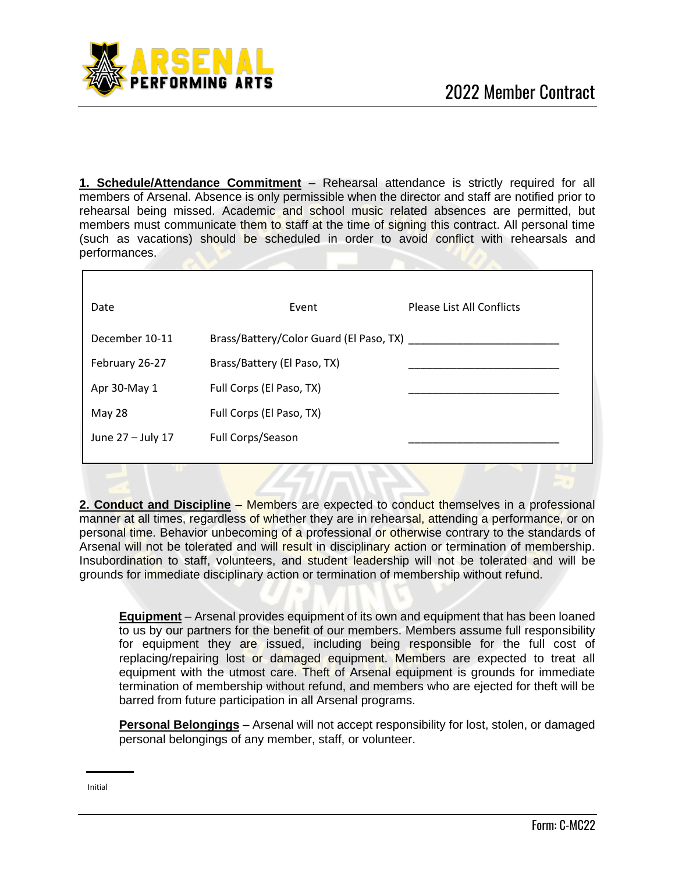

**1. Schedule/Attendance Commitment** – Rehearsal attendance is strictly required for all members of Arsenal. Absence is only permissible when the director and staff are notified prior to rehearsal being missed. Academic and school music related absences are permitted, but members must communicate them to staff at the time of signing this contract. All personal time (such as vacations) should be scheduled in order to avoid conflict with rehearsals and performances.

| Date              | Event                                        | <b>Please List All Conflicts</b> |
|-------------------|----------------------------------------------|----------------------------------|
| December 10-11    | Brass/Battery/Color Guard (El Paso, TX) ____ |                                  |
| February 26-27    | Brass/Battery (El Paso, TX)                  |                                  |
| Apr 30-May 1      | Full Corps (El Paso, TX)                     |                                  |
| May 28            | Full Corps (El Paso, TX)                     |                                  |
| June 27 - July 17 | Full Corps/Season                            |                                  |
|                   |                                              |                                  |

**2. Conduct and Discipline** – Members are expected to conduct themselves in a professional manner at all times, regardless of whether they are in rehearsal, attending a performance, or on personal time. Behavior unbecoming of a professional or otherwise contrary to the standards of Arsenal will not be tolerated and will result in disciplinary action or termination of membership. Insubordination to staff, volunteers, and student leadership will not be tolerated and will be grounds for immediate disciplinary action or termination of membership without refund.

**Equipment** – Arsenal provides equipment of its own and equipment that has been loaned to us by our partners for the benefit of our members. Members assume full responsibility for equipment they are issued, including being responsible for the full cost of replacing/repairing lost or damaged equipment. Members are expected to treat all equipment with the utmost care. Theft of Arsenal equipment is grounds for immediate termination of membership without refund, and members who are ejected for theft will be barred from future participation in all Arsenal programs.

**Personal Belongings** – Arsenal will not accept responsibility for lost, stolen, or damaged personal belongings of any member, staff, or volunteer.

Initial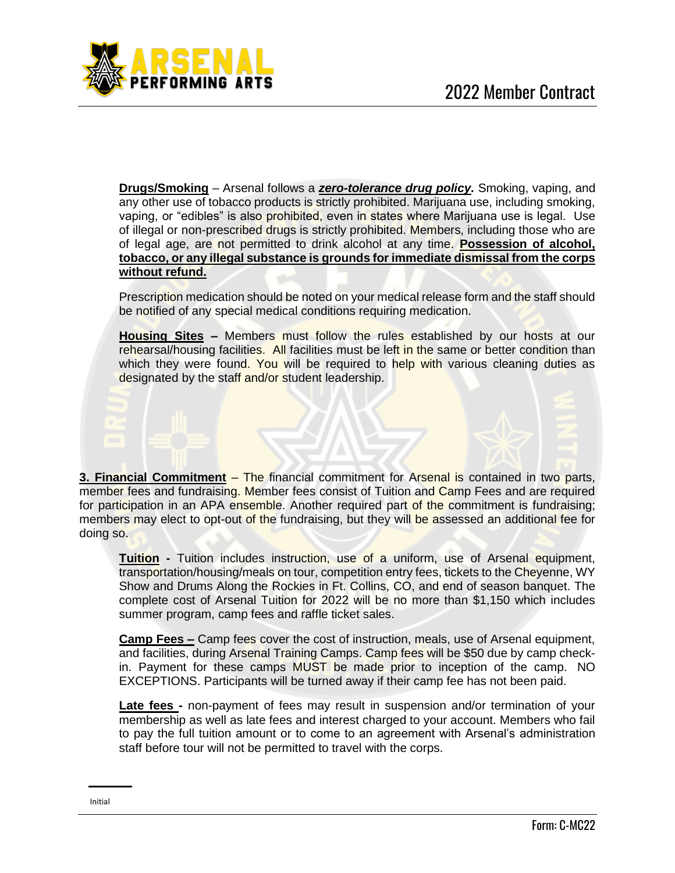

**Drugs/Smoking** – Arsenal follows a *zero-tolerance drug policy.* Smoking, vaping, and any other use of tobacco products is strictly prohibited. Marijuana use, including smoking, vaping, or "edibles" is also prohibited, even in states where Marijuana use is legal. Use of illegal or non-prescribed drugs is strictly prohibited. Members, including those who are of legal age, are not permitted to drink alcohol at any time. **Possession of alcohol, tobacco, or any illegal substance is grounds for immediate dismissal from the corps without refund.**

Prescription medication should be noted on your medical release form and the staff should be notified of any special medical conditions requiring medication.

**Housing Sites –** Members must follow the rules established by our hosts at our rehearsal/housing facilities. All facilities must be left in the same or better condition than which they were found. You will be required to help with various cleaning duties as designated by the staff and/or student leadership.

**3. Financial Commitment** – The financial commitment for Arsenal is contained in two parts, member fees and fundraising. Member fees consist of Tuition and Camp Fees and are required for participation in an APA ensemble. Another required part of the commitment is fundraising; members may elect to opt-out of the fundraising, but they will be assessed an additional fee for doing so.

**Tuition -** Tuition includes instruction, use of a uniform, use of Arsenal equipment, transportation/housing/meals on tour, competition entry fees, tickets to the Cheyenne, WY Show and Drums Along the Rockies in Ft. Collins, CO, and end of season banquet. The complete cost of Arsenal Tuition for 2022 will be no more than \$1,150 which includes summer program, camp fees and raffle ticket sales.

**Camp Fees –** Camp fees cover the cost of instruction, meals, use of Arsenal equipment, and facilities, during Arsenal Training Camps. Camp fees will be \$50 due by camp checkin. Payment for these camps MUST be made prior to inception of the camp. NO EXCEPTIONS. Participants will be turned away if their camp fee has not been paid.

**Late fees -** non-payment of fees may result in suspension and/or termination of your membership as well as late fees and interest charged to your account. Members who fail to pay the full tuition amount or to come to an agreement with Arsenal's administration staff before tour will not be permitted to travel with the corps.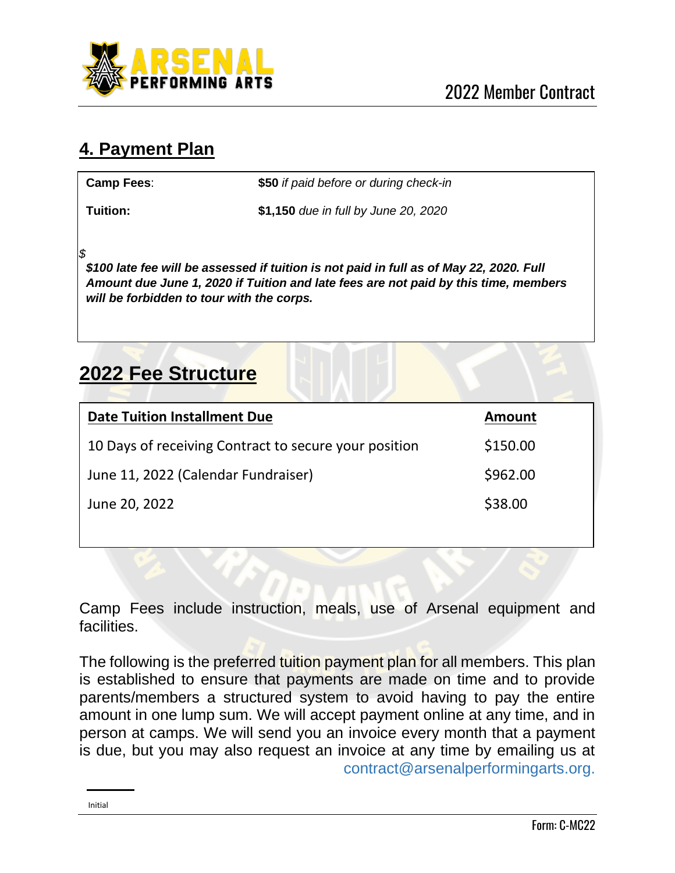

## **4. Payment Plan**

**Camp Fees**: **\$50** *if paid before or during check-in*

**Tuition: \$1,150** *due in full by June 20, 2020*

**Note:** *a \$*

*\$100 late fee will be assessed if tuition is not paid in full as of May 22, 2020. Full Amount due June 1, 2020 if Tuition and late fees are not paid by this time, members will be forbidden to tour with the corps.*

## **2022 Fee Structure**

| <b>Date Tuition Installment Due</b>                   | <b>Amount</b> |
|-------------------------------------------------------|---------------|
| 10 Days of receiving Contract to secure your position | \$150.00      |
| June 11, 2022 (Calendar Fundraiser)                   | \$962.00      |
| June 20, 2022                                         | \$38.00       |
|                                                       |               |

Camp Fees include instruction, meals, use of Arsenal equipment and **facilities** 

The following is the preferred tuition payment plan for all members. This plan is established to ensure that payments are made on time and to provide parents/members a structured system to avoid having to pay the entire amount in one lump sum. We will accept payment online at any time, and in person at camps. We will send you an invoice every month that a payment is due, but you may also request an invoice at any time by emailing us at contract@arsenalperformingarts.org.